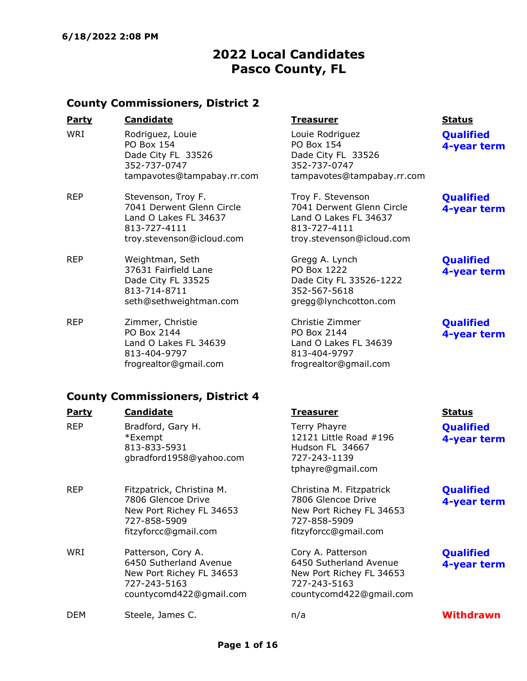# 2022 Local Candidates Pasco County, FL

### County Commissioners, District 2

| <u>Party</u> | <b>Candidate</b>                                                                                          |
|--------------|-----------------------------------------------------------------------------------------------------------|
| WRI          | Rodriguez, Louie<br><b>PO Box 154</b><br>Dade City FL 33526<br>352-737-0747<br>tampavotes@tampabay.rr.com |

REP Stevenson, Troy F. 7041 Derwent Glenn Circle Land O Lakes FL 34637 813-727-4111 troy.stevenson@icloud.com

- REP Weightman, Seth 37631 Fairfield Lane Dade City FL 33525 813-714-8711 seth@sethweightman.com
- REP Zimmer, Christie PO Box 2144 Land O Lakes FL 34639 813-404-9797 frogrealtor@gmail.com

### **Party Candidate Treasurer Status**

Louie Rodriguez PO Box 154 Dade City FL 33526 352-737-0747 tampavotes@tampabay.rr.com

Troy F. Stevenson 7041 Derwent Glenn Circle Land O Lakes FL 34637 813-727-4111 troy.stevenson@icloud.com

Gregg A. Lynch PO Box 1222 Dade City FL 33526-1222 352-567-5618 gregg@lynchcotton.com

Christie Zimmer PO Box 2144 Land O Lakes FL 34639 813-404-9797 frogrealtor@gmail.com

**Qualified** 4-year term

**Qualified** 4-year term

### **Qualified** 4-year term

### **Qualified** 4-year term

### County Commissioners, District 4

| <b>Party</b> | <b>Candidate</b>                                                                                                    | <b>Treasurer</b>                                                                                                   | <b>Status</b>                   |
|--------------|---------------------------------------------------------------------------------------------------------------------|--------------------------------------------------------------------------------------------------------------------|---------------------------------|
| <b>REP</b>   | Bradford, Gary H.<br>*Exempt<br>813-833-5931<br>gbradford1958@yahoo.com                                             | Terry Phayre<br>12121 Little Road #196<br>Hudson FL 34667<br>727-243-1139<br>tphayre@gmail.com                     | <b>Qualified</b><br>4-year term |
| <b>REP</b>   | Fitzpatrick, Christina M.<br>7806 Glencoe Drive<br>New Port Richey FL 34653<br>727-858-5909<br>fitzyforcc@gmail.com | Christina M. Fitzpatrick<br>7806 Glencoe Drive<br>New Port Richey FL 34653<br>727-858-5909<br>fitzyforcc@gmail.com | <b>Qualified</b><br>4-year term |
| WRI          | Patterson, Cory A.<br>6450 Sutherland Avenue<br>New Port Richey FL 34653<br>727-243-5163<br>countycomd422@gmail.com | Cory A. Patterson<br>6450 Sutherland Avenue<br>New Port Richey FL 34653<br>727-243-5163<br>countycomd422@gmail.com | <b>Qualified</b><br>4-year term |
| <b>DEM</b>   | Steele, James C.                                                                                                    | n/a                                                                                                                | <b>Withdrawn</b>                |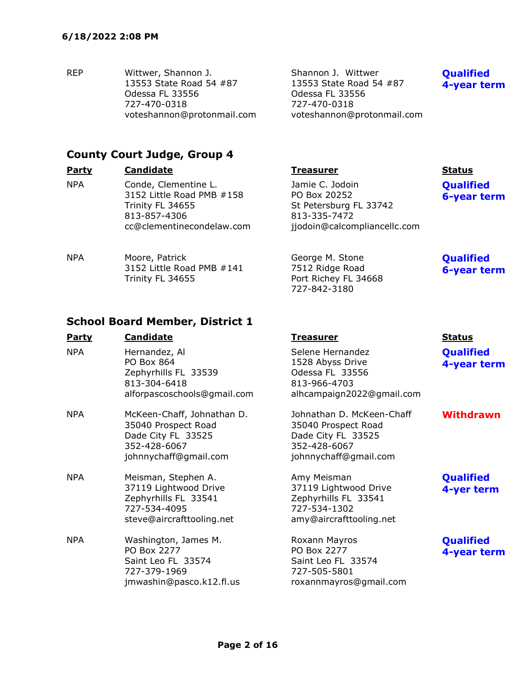REP Wittwer, Shannon J. 13553 State Road 54 #87 Odessa FL 33556 727-470-0318 voteshannon@protonmail.com Shannon J. Wittwer 13553 State Road 54 #87 Odessa FL 33556 727-470-0318 voteshannon@protonmail.com

Port Richey FL 34668

727-842-3180

### **Qualified** 4-year term

**Qualified** 6-year term

**Qualified** 6-year term

## County Court Judge, Group 4

| <b>Party</b> | <b>Candidate</b>                                                                                                   | <b>Treasurer</b>                                                                                          | <b>Status</b>     |
|--------------|--------------------------------------------------------------------------------------------------------------------|-----------------------------------------------------------------------------------------------------------|-------------------|
| <b>NPA</b>   | Conde, Clementine L.<br>3152 Little Road PMB #158<br>Trinity FL 34655<br>813-857-4306<br>cc@clementinecondelaw.com | Jamie C. Jodoin<br>PO Box 20252<br>St Petersburg FL 33742<br>813-335-7472<br>jjodoin@calcompliancellc.com | Qualifi<br>6-year |
| <b>NPA</b>   | Moore, Patrick<br>3152 Little Road PMB #141                                                                        | George M. Stone<br>7512 Ridge Road                                                                        | Qualifi<br>6-vear |

3152 Little Road PMB #141 Trinity FL 34655

### School Board Member, District 1

| <b>Party</b> | <b>Candidate</b>                                                                                                  | <b>Treasurer</b>                                                                                                | <b>Status</b>                   |
|--------------|-------------------------------------------------------------------------------------------------------------------|-----------------------------------------------------------------------------------------------------------------|---------------------------------|
| <b>NPA</b>   | Hernandez, Al<br>PO Box 864<br>Zephyrhills FL 33539<br>813-304-6418<br>alforpascoschools@gmail.com                | Selene Hernandez<br>1528 Abyss Drive<br>Odessa FL 33556<br>813-966-4703<br>alhcampaign2022@gmail.com            | <b>Qualified</b><br>4-year term |
| NPA          | McKeen-Chaff, Johnathan D.<br>35040 Prospect Road<br>Dade City FL 33525<br>352-428-6067<br>johnnychaff@gmail.com  | Johnathan D. McKeen-Chaff<br>35040 Prospect Road<br>Dade City FL 33525<br>352-428-6067<br>johnnychaff@gmail.com | <b>Withdrawn</b>                |
| <b>NPA</b>   | Meisman, Stephen A.<br>37119 Lightwood Drive<br>Zephyrhills FL 33541<br>727-534-4095<br>steve@aircrafttooling.net | Amy Meisman<br>37119 Lightwood Drive<br>Zephyrhills FL 33541<br>727-534-1302<br>amy@aircrafttooling.net         | <b>Qualified</b><br>4-yer term  |
| <b>NPA</b>   | Washington, James M.<br>PO Box 2277<br>Saint Leo FL 33574<br>727-379-1969<br>jmwashin@pasco.k12.fl.us             | Roxann Mayros<br>PO Box 2277<br>Saint Leo FL 33574<br>727-505-5801<br>roxannmayros@gmail.com                    | <b>Qualified</b><br>4-year term |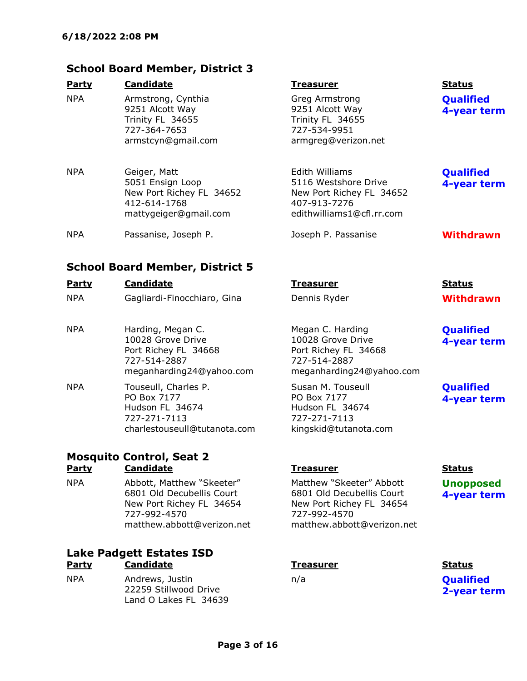### School Board Member, District 3

| Party      | <b>Candidate</b>                                                                                | <b>Treasurer</b>                                                                             | <b>Status</b>                                 |
|------------|-------------------------------------------------------------------------------------------------|----------------------------------------------------------------------------------------------|-----------------------------------------------|
| <b>NPA</b> | Armstrong, Cynthia<br>9251 Alcott Way<br>Trinity FL 34655<br>727-364-7653<br>armstcyn@gmail.com | Greg Armstrong<br>9251 Alcott Way<br>Trinity FL 34655<br>727-534-9951<br>armgreg@verizon.net | <b>Qualified</b><br>4-year tern               |
| <b>NPA</b> | Geiger, Matt<br>5051 Ensign Loop                                                                | Edith Williams<br>5116 Westshore Drive                                                       | <b>Qualified</b><br><b><i>A-vear term</i></b> |

| IFA | Geiger, Mall             | LUILII WIIIIAIIIS         |
|-----|--------------------------|---------------------------|
|     | 5051 Ensign Loop         | 5116 Westshore Drive      |
|     | New Port Richey FL 34652 | New Port Richey FL 34652  |
|     | 412-614-1768             | 407-913-7276              |
|     | mattygeiger@gmail.com    | edithwilliams1@cfl.rr.com |
|     |                          |                           |

NPA Passanise, Joseph P. Noseph P. Passanise Passanise Withdrawn

### School Board Member, District 5

| <b>Party</b> | <b>Candidate</b>                                                                                           | Treasurer                                                                                                 | <b>Status</b>                   |
|--------------|------------------------------------------------------------------------------------------------------------|-----------------------------------------------------------------------------------------------------------|---------------------------------|
| <b>NPA</b>   | Gagliardi-Finocchiaro, Gina                                                                                | Dennis Ryder                                                                                              | <b>Withdrawn</b>                |
| <b>NPA</b>   | Harding, Megan C.<br>10028 Grove Drive<br>Port Richey FL 34668<br>727-514-2887<br>meganharding24@yahoo.com | Megan C. Harding<br>10028 Grove Drive<br>Port Richey FL 34668<br>727-514-2887<br>meganharding24@yahoo.com | <b>Qualified</b><br>4-year tern |
| <b>NPA</b>   | Touseull, Charles P.<br>PO Box 7177<br>Hudson FL 34674<br>727-271-7113                                     | Susan M. Touseull<br>PO Box 7177<br>Hudson FL 34674<br>727-271-7113                                       | <b>Qualified</b><br>4-year tern |

### Mosquito Control, Seat 2 Party Candidate Treasurer Status

NPA Abbott, Matthew "Skeeter" 6801 Old Decubellis Court New Port Richey FL 34654 727-992-4570 matthew.abbott@verizon.net

charlestouseull@tutanota.com

### Lake Padgett Estates ISD Party Candidate **Treasurer Status Party** Status

NPA Andrews, Justin 22259 Stillwood Drive Land O Lakes FL 34639

Matthew "Skeeter" Abbott 6801 Old Decubellis Court New Port Richey FL 34654 727-992-4570 matthew.abbott@verizon.net

kingskid@tutanota.com

4-year term

# 4-year term

**Qualified** 4-year term

**Qualified** 4-year term

Unopposed 4-year term

n/a **Qualified** 2-year term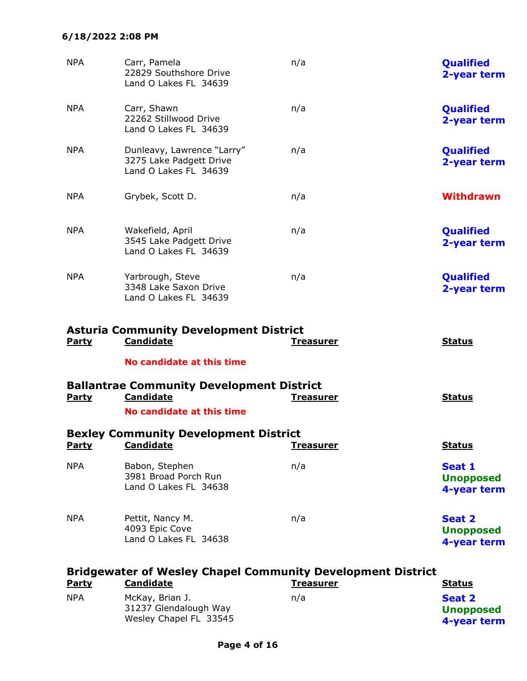### 6/18/2022 2:08 PM

| <b>NPA</b><br><b>NPA</b> | Carr, Pamela<br>22829 Southshore Drive<br>Land O Lakes FL 34639                | n/a<br>n/a       | Qualified<br>2-year term<br>Qualified     |
|--------------------------|--------------------------------------------------------------------------------|------------------|-------------------------------------------|
|                          | Carr, Shawn<br>22262 Stillwood Drive<br>Land O Lakes FL 34639                  |                  | 2-year term                               |
| <b>NPA</b>               | Dunleavy, Lawrence "Larry"<br>3275 Lake Padgett Drive<br>Land O Lakes FL 34639 | n/a              | Qualified<br>2-year term                  |
| <b>NPA</b>               | Grybek, Scott D.                                                               | n/a              | <b>Withdrawn</b>                          |
| <b>NPA</b>               | Wakefield, April<br>3545 Lake Padgett Drive<br>Land O Lakes FL 34639           | n/a              | Qualified<br>2-year term                  |
| <b>NPA</b>               | Yarbrough, Steve<br>3348 Lake Saxon Drive<br>Land O Lakes FL 34639             | n/a              | Qualified<br>2-year term                  |
|                          |                                                                                |                  |                                           |
|                          | <b>Asturia Community Development District</b>                                  |                  |                                           |
| <b>Party</b>             | <b>Candidate</b>                                                               | <u>Treasurer</u> | <b>Status</b>                             |
|                          | No candidate at this time                                                      |                  |                                           |
| <b>Party</b>             | <b>Ballantrae Community Development District</b><br><b>Candidate</b>           | <u>Treasurer</u> | <b>Status</b>                             |
|                          | No candidate at this time                                                      |                  |                                           |
| <u>Party</u>             | <b>Bexley Community Development District</b><br><u>Candidate</u>               | <u>Treasurer</u> | <u>Status</u>                             |
| <b>NPA</b>               | Babon, Stephen<br>3981 Broad Porch Run<br>Land O Lakes FL 34638                | n/a              | Seat 1<br><b>Unopposed</b><br>4-year term |

|              | <b>Bridgewater of Wesley Chapel Community Development District</b> |                  |                                           |  |
|--------------|--------------------------------------------------------------------|------------------|-------------------------------------------|--|
| <b>Party</b> | <b>Candidate</b>                                                   | <b>Treasurer</b> | <b>Status</b>                             |  |
| <b>NPA</b>   | McKay, Brian J.<br>31237 Glendalough Way<br>Wesley Chapel FL 33545 | n/a              | Seat 2<br><b>Unopposed</b><br>4-year term |  |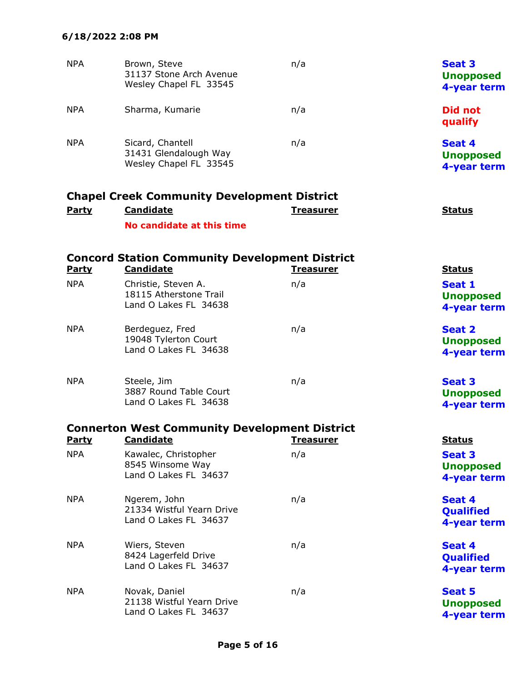| <b>NPA</b>   | Brown, Steve<br>31137 Stone Arch Avenue<br>Wesley Chapel FL 33545        | n/a              | <b>Seat 3</b><br><b>Unopposed</b><br>4-year term |
|--------------|--------------------------------------------------------------------------|------------------|--------------------------------------------------|
| <b>NPA</b>   | Sharma, Kumarie                                                          | n/a              | <b>Did not</b><br>qualify                        |
| <b>NPA</b>   | Sicard, Chantell<br>31431 Glendalough Way<br>Wesley Chapel FL 33545      | n/a              | Seat 4<br><b>Unopposed</b><br>4-year term        |
|              | <b>Chapel Creek Community Development District</b>                       |                  |                                                  |
| <b>Party</b> | <b>Candidate</b>                                                         | <b>Treasurer</b> | <b>Status</b>                                    |
|              | No candidate at this time                                                |                  |                                                  |
|              | <b>Concord Station Community Development District</b>                    |                  |                                                  |
| <b>Party</b> | <b>Candidate</b>                                                         | <b>Treasurer</b> | <b>Status</b>                                    |
| <b>NPA</b>   | Christie, Steven A.<br>18115 Atherstone Trail<br>Land O Lakes FL 34638   | n/a              | Seat 1<br><b>Unopposed</b><br>4-year term        |
| <b>NPA</b>   | Berdeguez, Fred<br>19048 Tylerton Court<br>Land O Lakes FL 34638         | n/a              | <b>Seat 2</b><br><b>Unopposed</b><br>4-year term |
| <b>NPA</b>   | Steele, Jim<br>3887 Round Table Court<br>Land O Lakes FL 34638           | n/a              | <b>Seat 3</b><br><b>Unopposed</b><br>4-year term |
| <b>Party</b> | <b>Connerton West Community Development District</b><br><b>Candidate</b> | <u>Treasurer</u> | <b>Status</b>                                    |
| <b>NPA</b>   | Kawalec, Christopher<br>8545 Winsome Way<br>Land O Lakes FL 34637        | n/a              | Seat 3<br><b>Unopposed</b><br>4-year term        |
| <b>NPA</b>   | Ngerem, John<br>21334 Wistful Yearn Drive<br>Land O Lakes FL 34637       | n/a              | Seat 4<br>Qualified<br>4-year term               |
| <b>NPA</b>   | Wiers, Steven<br>8424 Lagerfeld Drive<br>Land O Lakes FL 34637           | n/a              | Seat 4<br>Qualified<br>4-year term               |
| <b>NPA</b>   | Novak, Daniel<br>21138 Wistful Yearn Drive<br>Land O Lakes FL 34637      | n/a              | <b>Seat 5</b><br><b>Unopposed</b><br>4-year term |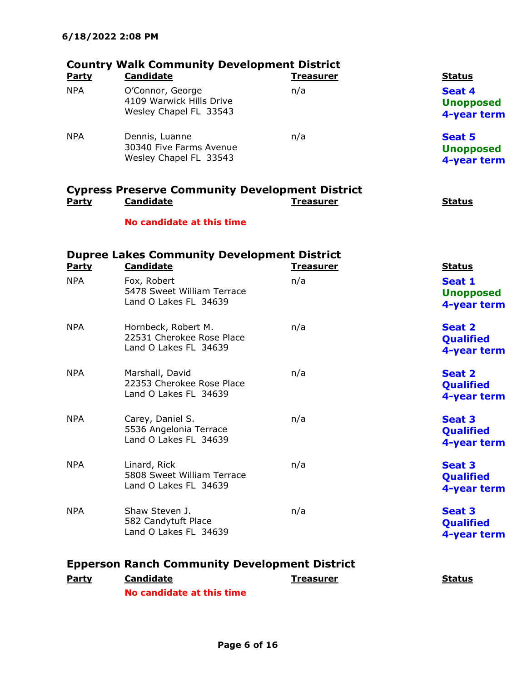|                            | <b>Country Walk Community Development District</b>                                         |                         |                                                            |
|----------------------------|--------------------------------------------------------------------------------------------|-------------------------|------------------------------------------------------------|
| <b>Party</b><br><b>NPA</b> | <b>Candidate</b><br>O'Connor, George<br>4109 Warwick Hills Drive<br>Wesley Chapel FL 33543 | <b>Treasurer</b><br>n/a | <b>Status</b><br>Seat 4<br><b>Unopposed</b><br>4-year term |
| <b>NPA</b>                 | Dennis, Luanne<br>30340 Five Farms Avenue<br>Wesley Chapel FL 33543                        | n/a                     | <b>Seat 5</b><br><b>Unopposed</b><br>4-year term           |
| <b>Party</b>               | <b>Cypress Preserve Community Development District</b><br><b>Candidate</b>                 | <b>Treasurer</b>        | <b>Status</b>                                              |
|                            | No candidate at this time                                                                  |                         |                                                            |
|                            | <b>Dupree Lakes Community Development District</b>                                         |                         |                                                            |
| Party<br><b>NPA</b>        | <b>Candidate</b><br>Fox, Robert<br>5478 Sweet William Terrace<br>Land O Lakes FL 34639     | <b>Treasurer</b><br>n/a | <b>Status</b><br>Seat 1<br><b>Unopposed</b><br>4-year term |
| <b>NPA</b>                 | Hornbeck, Robert M.<br>22531 Cherokee Rose Place<br>Land O Lakes FL 34639                  | n/a                     | <b>Seat 2</b><br><b>Qualified</b><br>4-year term           |
| <b>NPA</b>                 | Marshall, David<br>22353 Cherokee Rose Place<br>Land O Lakes FL 34639                      | n/a                     | <b>Seat 2</b><br>Qualified<br>4-year term                  |
| <b>NPA</b>                 | Carey, Daniel S.<br>5536 Angelonia Terrace<br>Land O Lakes FL 34639                        | n/a                     | <b>Seat 3</b><br><b>Qualified</b><br>4-year term           |
| <b>NPA</b>                 | Linard, Rick<br>5808 Sweet William Terrace<br>Land O Lakes FL 34639                        | n/a                     | <b>Seat 3</b><br><b>Qualified</b><br>4-year term           |
| <b>NPA</b>                 | Shaw Steven J.<br>582 Candytuft Place<br>Land O Lakes FL 34639                             | n/a                     | <b>Seat 3</b><br><b>Qualified</b><br>4-year term           |
|                            | <b>Epperson Ranch Community Development District</b>                                       |                         |                                                            |

| <b>Party</b> | <b>Candidate</b>          | Treasurer | <b>Status</b> |
|--------------|---------------------------|-----------|---------------|
|              | No candidate at this time |           |               |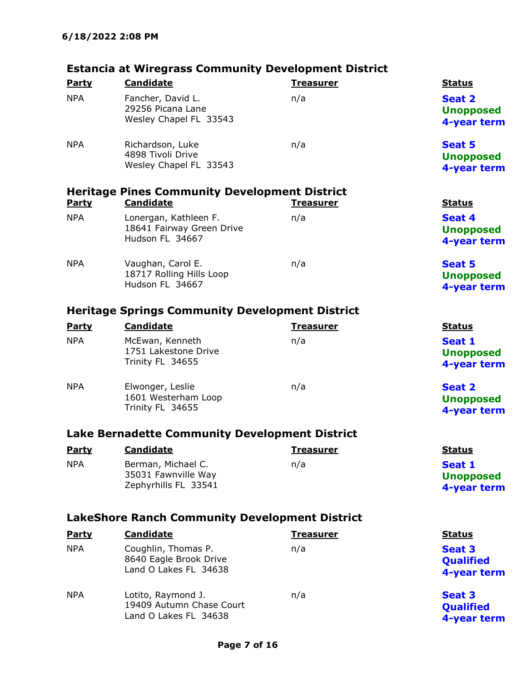### Estancia at Wiregrass Community Development District

|                                                       | Estancia at wiregrass community Development District   |                  |                  |  |
|-------------------------------------------------------|--------------------------------------------------------|------------------|------------------|--|
| <b>Party</b>                                          | <b>Candidate</b>                                       | <b>Treasurer</b> | <b>Status</b>    |  |
| <b>NPA</b>                                            | Fancher, David L.                                      | n/a              | <b>Seat 2</b>    |  |
|                                                       | 29256 Picana Lane                                      |                  | <b>Unopposed</b> |  |
|                                                       | Wesley Chapel FL 33543                                 |                  | 4-year term      |  |
| <b>NPA</b>                                            | Richardson, Luke                                       | n/a              | <b>Seat 5</b>    |  |
|                                                       | 4898 Tivoli Drive                                      |                  | <b>Unopposed</b> |  |
|                                                       | Wesley Chapel FL 33543                                 |                  | 4-year term      |  |
|                                                       | <b>Heritage Pines Community Development District</b>   |                  |                  |  |
| <b>Party</b>                                          | <b>Candidate</b>                                       | <b>Treasurer</b> | <b>Status</b>    |  |
| <b>NPA</b>                                            | Lonergan, Kathleen F.                                  | n/a              | Seat 4           |  |
|                                                       | 18641 Fairway Green Drive                              |                  | <b>Unopposed</b> |  |
|                                                       | Hudson FL 34667                                        |                  | 4-year term      |  |
| <b>NPA</b>                                            | Vaughan, Carol E.                                      | n/a              | <b>Seat 5</b>    |  |
|                                                       | 18717 Rolling Hills Loop                               |                  | <b>Unopposed</b> |  |
|                                                       | Hudson FL 34667                                        |                  | 4-year term      |  |
|                                                       | <b>Heritage Springs Community Development District</b> |                  |                  |  |
| <b>Party</b>                                          | <b>Candidate</b>                                       | <b>Treasurer</b> | <b>Status</b>    |  |
| <b>NPA</b>                                            | McEwan, Kenneth                                        | n/a              | Seat 1           |  |
|                                                       | 1751 Lakestone Drive                                   |                  | <b>Unopposed</b> |  |
|                                                       | Trinity FL 34655                                       |                  | 4-year term      |  |
| <b>NPA</b>                                            | Elwonger, Leslie                                       | n/a              | <b>Seat 2</b>    |  |
|                                                       | 1601 Westerham Loop                                    |                  | <b>Unopposed</b> |  |
|                                                       | Trinity FL 34655                                       |                  | 4-year term      |  |
|                                                       | <b>Lake Bernadette Community Development District</b>  |                  |                  |  |
| <b>Party</b>                                          | <b>Candidate</b>                                       | <u>Treasurer</u> | <b>Status</b>    |  |
| <b>NPA</b>                                            | Berman, Michael C.                                     | n/a              | Seat 1           |  |
|                                                       | 35031 Fawnville Way                                    |                  | <b>Unopposed</b> |  |
|                                                       | Zephyrhills FL 33541                                   |                  | 4-year term      |  |
| <b>LakeShore Ranch Community Development District</b> |                                                        |                  |                  |  |
| <b>Party</b>                                          | <b>Candidate</b>                                       | <b>Treasurer</b> | <b>Status</b>    |  |
| <b>NPA</b>                                            | Coughlin, Thomas P.                                    | n/a              | <b>Seat 3</b>    |  |
|                                                       | 8640 Eagle Brook Drive                                 |                  | <b>Qualified</b> |  |
|                                                       | Land O Lakes FL 34638                                  |                  | 4-year term      |  |

NPA Lotito, Raymond J. 19409 Autumn Chase Court Land O Lakes FL 34638 n/a Seat 3

**Qualified** 4-year term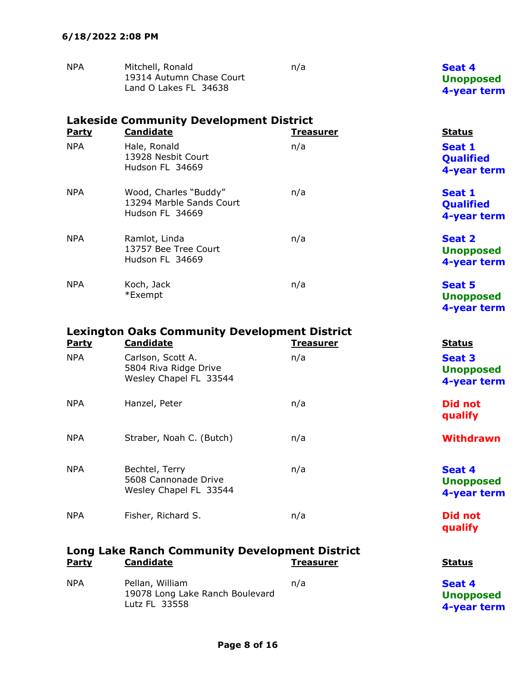| <b>NPA</b> | Mitchell, Ronald                                  | n/a | Seat 4                          |
|------------|---------------------------------------------------|-----|---------------------------------|
|            | 19314 Autumn Chase Court<br>Land O Lakes FL 34638 |     | <b>Unopposed</b><br>4-year term |

|              | <b>Lakeside Community Development District</b>                       |                  |                                                  |  |
|--------------|----------------------------------------------------------------------|------------------|--------------------------------------------------|--|
| <b>Party</b> | <b>Candidate</b>                                                     | <u>Treasurer</u> | <b>Status</b>                                    |  |
| <b>NPA</b>   | Hale, Ronald<br>13928 Nesbit Court<br>Hudson FL 34669                | n/a              | Seat 1<br><b>Qualified</b><br>4-year term        |  |
| <b>NPA</b>   | Wood, Charles "Buddy"<br>13294 Marble Sands Court<br>Hudson FL 34669 | n/a              | Seat 1<br><b>Qualified</b><br>4-year term        |  |
| <b>NPA</b>   | Ramlot, Linda<br>13757 Bee Tree Court<br>Hudson FL 34669             | n/a              | <b>Seat 2</b><br><b>Unopposed</b><br>4-year term |  |
| <b>NPA</b>   | Koch, Jack<br>*Exempt                                                | n/a              | <b>Seat 5</b><br><b>Unopposed</b><br>4-year term |  |

| <b>Lexington Oaks Community Development District</b>                                                                           |                                                                      |                  |                                                  |  |
|--------------------------------------------------------------------------------------------------------------------------------|----------------------------------------------------------------------|------------------|--------------------------------------------------|--|
| <b>Party</b>                                                                                                                   | <b>Candidate</b>                                                     | <u>Treasurer</u> | <b>Status</b>                                    |  |
| <b>NPA</b>                                                                                                                     | Carlson, Scott A.<br>5804 Riva Ridge Drive<br>Wesley Chapel FL 33544 | n/a              | <b>Seat 3</b><br><b>Unopposed</b><br>4-year term |  |
| NPA                                                                                                                            | Hanzel, Peter                                                        | n/a              | <b>Did not</b><br>qualify                        |  |
| <b>NPA</b>                                                                                                                     | Straber, Noah C. (Butch)                                             | n/a              | <b>Withdrawn</b>                                 |  |
| NPA                                                                                                                            | Bechtel, Terry<br>5608 Cannonade Drive<br>Wesley Chapel FL 33544     | n/a              | Seat 4<br><b>Unopposed</b><br>4-year term        |  |
| NPA                                                                                                                            | Fisher, Richard S.                                                   | n/a              | Did not<br>qualify                               |  |
| <b>Long Lake Ranch Community Development District</b><br><b>Candidate</b><br><u>Party</u><br><u>Treasurer</u><br><u>Status</u> |                                                                      |                  |                                                  |  |

| <b>NPA</b> | Pellan, William                 | n/a | Seat 4           |
|------------|---------------------------------|-----|------------------|
|            | 19078 Long Lake Ranch Boulevard |     | <b>Unopposed</b> |
|            | Lutz FL 33558                   |     | 4-year term      |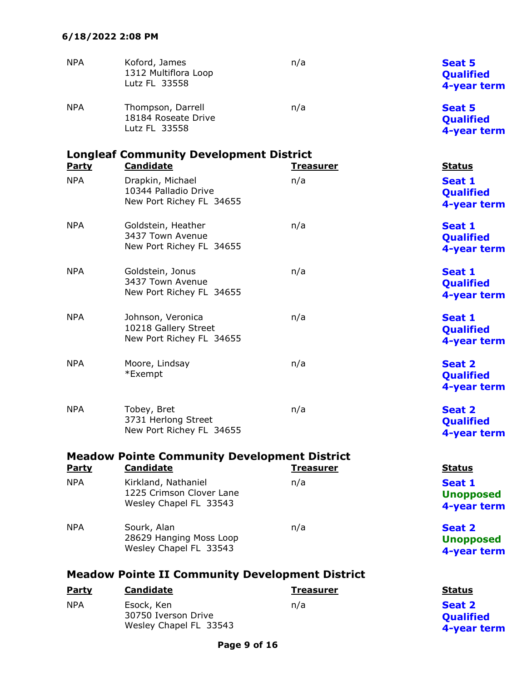| <b>NPA</b>   | Koford, James<br>1312 Multiflora Loop<br>Lutz FL 33558                    | n/a              | <b>Seat 5</b><br>Qualified<br>4-year term        |
|--------------|---------------------------------------------------------------------------|------------------|--------------------------------------------------|
| <b>NPA</b>   | Thompson, Darrell<br>18184 Roseate Drive<br>Lutz FL 33558                 | n/a              | <b>Seat 5</b><br>Qualified<br>4-year term        |
| <b>Party</b> | <b>Longleaf Community Development District</b><br><b>Candidate</b>        | <u>Treasurer</u> | <b>Status</b>                                    |
| <b>NPA</b>   | Drapkin, Michael<br>10344 Palladio Drive<br>New Port Richey FL 34655      | n/a              | Seat 1<br><b>Qualified</b><br>4-year term        |
| <b>NPA</b>   | Goldstein, Heather<br>3437 Town Avenue<br>New Port Richey FL 34655        | n/a              | Seat 1<br>Qualified<br>4-year term               |
| <b>NPA</b>   | Goldstein, Jonus<br>3437 Town Avenue<br>New Port Richey FL 34655          | n/a              | Seat 1<br><b>Qualified</b><br>4-year term        |
| <b>NPA</b>   | Johnson, Veronica<br>10218 Gallery Street<br>New Port Richey FL 34655     | n/a              | Seat 1<br>Qualified<br>4-year term               |
| <b>NPA</b>   | Moore, Lindsay<br>*Exempt                                                 | n/a              | <b>Seat 2</b><br><b>Qualified</b><br>4-year term |
| <b>NPA</b>   | Tobey, Bret<br>3731 Herlong Street<br>New Port Richey FL 34655            | n/a              | <b>Seat 2</b><br>Qualified<br>4-year term        |
|              | <b>Meadow Pointe Community Development District</b>                       |                  |                                                  |
| <b>Party</b> | <b>Candidate</b>                                                          | <b>Treasurer</b> | <b>Status</b>                                    |
| <b>NPA</b>   | Kirkland, Nathaniel<br>1225 Crimson Clover Lane<br>Wesley Chapel FL 33543 | n/a              | Seat 1<br><b>Unopposed</b><br>4-year term        |
| <b>NPA</b>   | Sourk, Alan<br>28629 Hanging Moss Loop<br>Wesley Chapel FL 33543          | n/a              | <b>Seat 2</b><br><b>Unopposed</b><br>4-year term |
|              | <b>Meadow Pointe II Community Development District</b>                    |                  |                                                  |
| <b>Party</b> | <b>Candidate</b>                                                          | <b>Treasurer</b> | <b>Status</b>                                    |
| <b>NPA</b>   | Esock, Ken<br>30750 Iverson Drive                                         | n/a              | <b>Seat 2</b><br><b>Qualified</b>                |

4-year term

Wesley Chapel FL 33543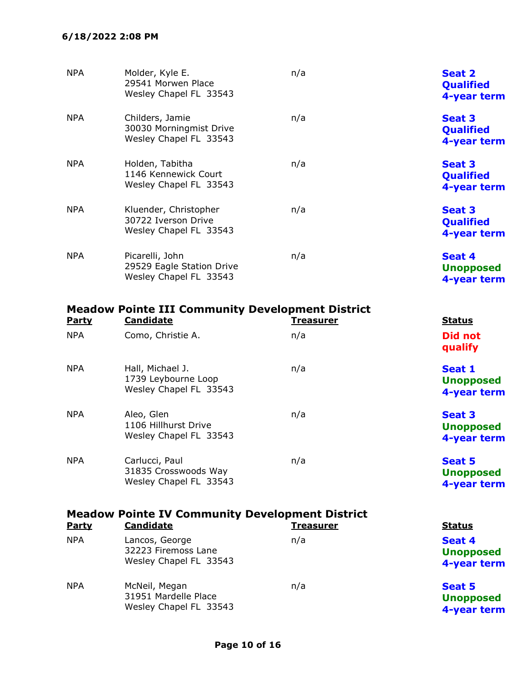### 6/18/2022 2:08 PM

| <b>NPA</b> | Molder, Kyle E.<br>29541 Morwen Place<br>Wesley Chapel FL 33543        | n/a | <b>Seat 2</b><br><b>Qualified</b><br>4-year term |
|------------|------------------------------------------------------------------------|-----|--------------------------------------------------|
| <b>NPA</b> | Childers, Jamie<br>30030 Morningmist Drive<br>Wesley Chapel FL 33543   | n/a | <b>Seat 3</b><br><b>Qualified</b><br>4-year term |
| <b>NPA</b> | Holden, Tabitha<br>1146 Kennewick Court<br>Wesley Chapel FL 33543      | n/a | <b>Seat 3</b><br><b>Qualified</b><br>4-year term |
| <b>NPA</b> | Kluender, Christopher<br>30722 Iverson Drive<br>Wesley Chapel FL 33543 | n/a | <b>Seat 3</b><br><b>Qualified</b><br>4-year term |
| <b>NPA</b> | Picarelli, John<br>29529 Eagle Station Drive<br>Wesley Chapel FL 33543 | n/a | Seat 4<br><b>Unopposed</b><br>4-year term        |

| <b>Party</b> | <b>Candidate</b>                                                  | <b>Treasurer</b> | <b>Status</b>                    |
|--------------|-------------------------------------------------------------------|------------------|----------------------------------|
| <b>NPA</b>   | Como, Christie A.                                                 | n/a              | Did no<br>qualify                |
| <b>NPA</b>   | Hall, Michael J.<br>1739 Leybourne Loop<br>Wesley Chapel FL 33543 | n/a              | Seat 1<br><b>Unopp</b><br>4-year |

Meadow Pointe III Community Development District

| <b>NPA</b> | Aleo, Glen<br>1106 Hillhurst Drive<br>Wesley Chapel FL 33543     | n/a | <b>Seat 3</b><br><b>Unopposed</b><br>4-year term |
|------------|------------------------------------------------------------------|-----|--------------------------------------------------|
| <b>NPA</b> | Carlucci, Paul<br>31835 Crosswoods Way<br>Wesley Chapel FL 33543 | n/a | <b>Seat 5</b><br><b>Unopposed</b><br>4-year term |

Did not qualify

Unopposed 4-year term

|              | <b>Meadow Pointe IV Community Development District</b>          |                  |                                                  |  |  |
|--------------|-----------------------------------------------------------------|------------------|--------------------------------------------------|--|--|
| <b>Party</b> | <b>Candidate</b>                                                | <b>Treasurer</b> | <b>Status</b>                                    |  |  |
| <b>NPA</b>   | Lancos, George<br>32223 Firemoss Lane<br>Wesley Chapel FL 33543 | n/a              | Seat 4<br><b>Unopposed</b><br>4-year term        |  |  |
| <b>NPA</b>   | McNeil, Megan<br>31951 Mardelle Place<br>Wesley Chapel FL 33543 | n/a              | <b>Seat 5</b><br><b>Unopposed</b><br>4-year term |  |  |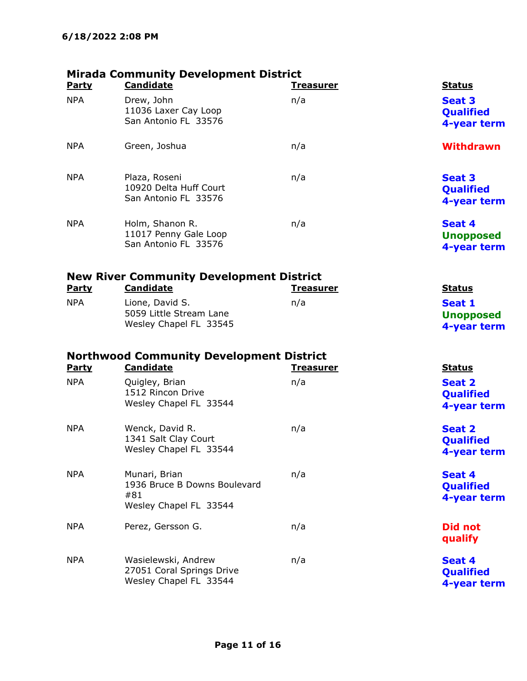| <b>Party</b>               | <b>Mirada Community Development District</b><br><b>Candidate</b>               | <u>Treasurer</u>        | <b>Status</b>                                                     |
|----------------------------|--------------------------------------------------------------------------------|-------------------------|-------------------------------------------------------------------|
| <b>NPA</b>                 | Drew, John<br>11036 Laxer Cay Loop<br>San Antonio FL 33576                     | n/a                     | <b>Seat 3</b><br>Qualified<br>4-year term                         |
| <b>NPA</b>                 | Green, Joshua                                                                  | n/a                     | <b>Withdrawn</b>                                                  |
| <b>NPA</b>                 | Plaza, Roseni<br>10920 Delta Huff Court<br>San Antonio FL 33576                | n/a                     | <b>Seat 3</b><br><b>Qualified</b><br>4-year term                  |
| <b>NPA</b>                 | Holm, Shanon R.<br>11017 Penny Gale Loop<br>San Antonio FL 33576               | n/a                     | Seat 4<br><b>Unopposed</b><br>4-year term                         |
|                            | <b>New River Community Development District</b>                                |                         |                                                                   |
| Party                      | <b>Candidate</b>                                                               | <b>Treasurer</b>        | <b>Status</b>                                                     |
| <b>NPA</b>                 | Lione, David S.<br>5059 Little Stream Lane<br>Wesley Chapel FL 33545           | n/a                     | Seat 1<br><b>Unopposed</b><br>4-year term                         |
|                            | <b>Northwood Community Development District</b><br>Candidate                   |                         |                                                                   |
| <b>Party</b><br><b>NPA</b> | Quigley, Brian<br>1512 Rincon Drive<br>Wesley Chapel FL 33544                  | <b>Treasurer</b><br>n/a | <b>Status</b><br><b>Seat 2</b><br><b>Qualified</b><br>4-year term |
| <b>NPA</b>                 | Wenck, David R.<br>1341 Salt Clay Court<br>Wesley Chapel FL 33544              | n/a                     | <b>Seat 2</b><br><b>Qualified</b><br>4-year term                  |
| <b>NPA</b>                 | Munari, Brian<br>1936 Bruce B Downs Boulevard<br>#81<br>Wesley Chapel FL 33544 | n/a                     | Seat 4<br>Qualified<br>4-year term                                |
| <b>NPA</b>                 | Perez, Gersson G.                                                              | n/a                     | <b>Did not</b><br>qualify                                         |
| <b>NPA</b>                 | Wasielewski, Andrew<br>27051 Coral Springs Drive<br>Wesley Chapel FL 33544     | n/a                     | Seat 4<br>Qualified<br>4-year term                                |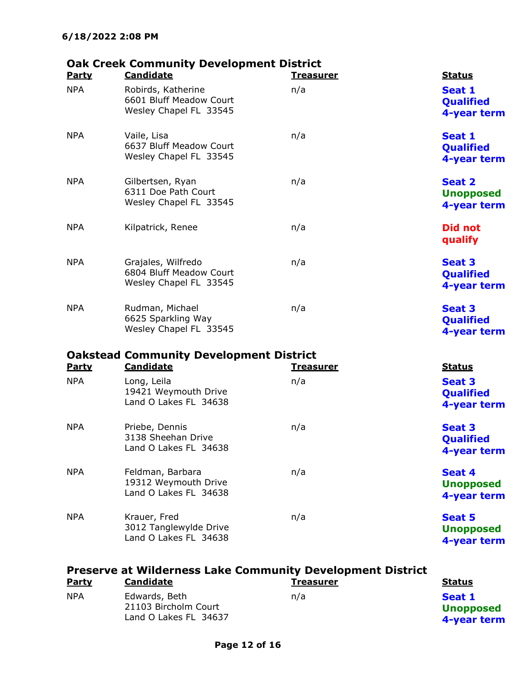# Oak Creek Community Development District

|                            | Steen community bevelopment bi<br><b>Candidate</b>                      |                         |                                                            |
|----------------------------|-------------------------------------------------------------------------|-------------------------|------------------------------------------------------------|
| <b>Party</b><br><b>NPA</b> | Robirds, Katherine<br>6601 Bluff Meadow Court<br>Wesley Chapel FL 33545 | <b>Treasurer</b><br>n/a | <b>Status</b><br>Seat 1<br><b>Qualified</b><br>4-year term |
| <b>NPA</b>                 | Vaile, Lisa<br>6637 Bluff Meadow Court<br>Wesley Chapel FL 33545        | n/a                     | Seat 1<br><b>Qualified</b><br>4-year term                  |
| <b>NPA</b>                 | Gilbertsen, Ryan<br>6311 Doe Path Court<br>Wesley Chapel FL 33545       | n/a                     | <b>Seat 2</b><br><b>Unopposed</b><br>4-year term           |
| <b>NPA</b>                 | Kilpatrick, Renee                                                       | n/a                     | <b>Did not</b><br>qualify                                  |
| <b>NPA</b>                 | Grajales, Wilfredo<br>6804 Bluff Meadow Court<br>Wesley Chapel FL 33545 | n/a                     | <b>Seat 3</b><br><b>Qualified</b><br>4-year term           |
| <b>NPA</b>                 | Rudman, Michael<br>6625 Sparkling Way<br>Wesley Chapel FL 33545         | n/a                     | <b>Seat 3</b><br><b>Qualified</b><br>4-year term           |
|                            | <b>Oakstead Community Development District</b>                          |                         |                                                            |
| <b>Party</b>               | <b>Candidate</b>                                                        | <u>Treasurer</u>        | <b>Status</b>                                              |
| <b>NPA</b>                 | Long, Leila<br>19421 Weymouth Drive<br>Land O Lakes FL 34638            | n/a                     | <b>Seat 3</b><br>Qualified<br>4-year term                  |
| <b>NPA</b>                 | Priebe, Dennis<br>3138 Sheehan Drive<br>Land O Lakes FL 34638           | n/a                     | <b>Seat 3</b><br>Qualified<br>4-year term                  |
| <b>NPA</b>                 | Feldman, Barbara<br>19312 Weymouth Drive<br>Land O Lakes FL 34638       | n/a                     | Seat 4<br><b>Unopposed</b><br>4-year term                  |
| <b>NPA</b>                 | Krauer, Fred<br>3012 Tanglewylde Drive<br>Land O Lakes FL 34638         | n/a                     | <b>Seat 5</b><br><b>Unopposed</b><br>4-year term           |
|                            |                                                                         |                         |                                                            |

| <b>Preserve at Wilderness Lake Community Development District</b> |                                                                |                  |                                           |
|-------------------------------------------------------------------|----------------------------------------------------------------|------------------|-------------------------------------------|
| <b>Party</b>                                                      | Candidate                                                      | <b>Treasurer</b> | <b>Status</b>                             |
| <b>NPA</b>                                                        | Edwards, Beth<br>21103 Bircholm Court<br>Land O Lakes FL 34637 | n/a              | Seat 1<br><b>Unopposed</b><br>4-year term |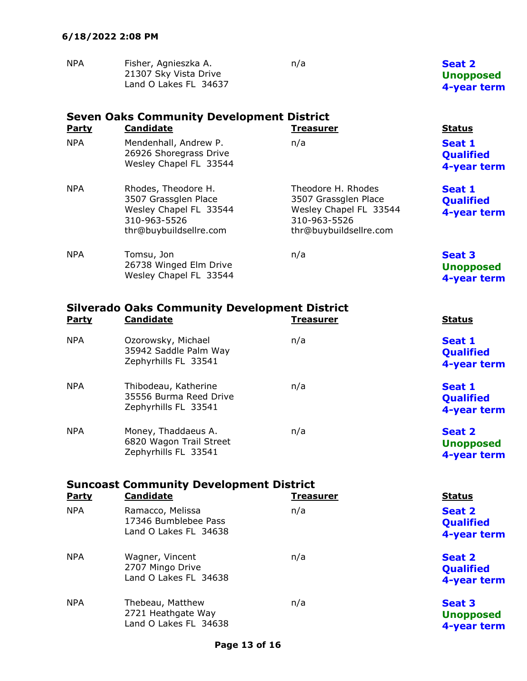| <b>NPA</b> | Fisher, Agnieszka A.  | n/a | Seat 2           |
|------------|-----------------------|-----|------------------|
|            | 21307 Sky Vista Drive |     | <b>Unopposed</b> |
|            | Land O Lakes FL 34637 |     | 4-year term      |

| <b>Party</b> | <b>Seven Oaks Community Development District</b><br><b>Candidate</b><br><b>Treasurer</b><br><b>Status</b>       |                                                                                                                |                                                  |  |  |
|--------------|-----------------------------------------------------------------------------------------------------------------|----------------------------------------------------------------------------------------------------------------|--------------------------------------------------|--|--|
| <b>NPA</b>   | Mendenhall, Andrew P.<br>26926 Shoregrass Drive<br>Wesley Chapel FL 33544                                       | n/a                                                                                                            | Seat 1<br><b>Qualified</b><br>4-year term        |  |  |
| <b>NPA</b>   | Rhodes, Theodore H.<br>3507 Grassglen Place<br>Wesley Chapel FL 33544<br>310-963-5526<br>thr@buybuildsellre.com | Theodore H. Rhodes<br>3507 Grassglen Place<br>Wesley Chapel FL 33544<br>310-963-5526<br>thr@buybuildsellre.com | Seat 1<br><b>Qualified</b><br>4-year term        |  |  |
| <b>NPA</b>   | Tomsu, Jon<br>26738 Winged Elm Drive<br>Wesley Chapel FL 33544                                                  | n/a                                                                                                            | <b>Seat 3</b><br><b>Unopposed</b><br>4-year term |  |  |

| <b>Party</b> | <b>Silverado Oaks Community Development District</b><br><b>Candidate</b> | <b>Treasurer</b> | <b>Status</b>                                    |
|--------------|--------------------------------------------------------------------------|------------------|--------------------------------------------------|
| <b>NPA</b>   | Ozorowsky, Michael<br>35942 Saddle Palm Way<br>Zephyrhills FL 33541      | n/a              | Seat 1<br><b>Qualified</b><br>4-year term        |
| <b>NPA</b>   | Thibodeau, Katherine<br>35556 Burma Reed Drive<br>Zephyrhills FL 33541   | n/a              | Seat 1<br><b>Qualified</b><br>4-year term        |
| <b>NPA</b>   | Money, Thaddaeus A.<br>6820 Wagon Trail Street<br>Zephyrhills FL 33541   | n/a              | <b>Seat 2</b><br><b>Unopposed</b><br>4-year term |

| <b>Suncoast Community Development District</b><br><b>Party</b> | <b>Status</b>                                                     |     |                                           |
|----------------------------------------------------------------|-------------------------------------------------------------------|-----|-------------------------------------------|
| <b>NPA</b>                                                     | Ramacco, Melissa<br>17346 Bumblebee Pass<br>Land O Lakes FL 34638 | n/a | Seat 2<br><b>Qualified</b><br>4-year term |
| <b>NPA</b>                                                     | Wagner, Vincent<br>2707 Mingo Drive<br>Land O Lakes FL 34638      | n/a | Seat 2<br><b>Qualified</b><br>4-year term |
| <b>NPA</b>                                                     | Thebeau, Matthew<br>2721 Heathgate Way<br>Land O Lakes FL 34638   | n/a | Seat 3<br><b>Unopposed</b><br>4-year term |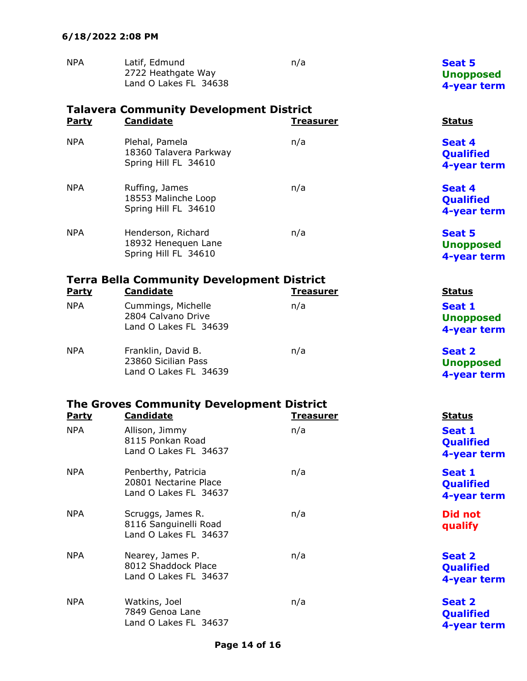| <b>NPA</b> | Latif, Edmund                               | n/a | <b>Seat 5</b>    |
|------------|---------------------------------------------|-----|------------------|
|            | 2722 Heathgate Way<br>Land O Lakes FL 34638 |     | <b>Unopposed</b> |
|            |                                             |     | 4-year term      |

| <b>Party</b> | <b>Talavera Community Development District</b><br><b>Candidate</b>    | <u>Treasurer</u> | <b>Status</b>                                    |
|--------------|-----------------------------------------------------------------------|------------------|--------------------------------------------------|
| <b>NPA</b>   | Plehal, Pamela<br>18360 Talavera Parkway<br>Spring Hill FL 34610      | n/a              | Seat 4<br><b>Qualified</b><br>4-year term        |
| <b>NPA</b>   | Ruffing, James<br>18553 Malinche Loop<br>Spring Hill FL 34610         | n/a              | Seat 4<br>Qualified<br>4-year term               |
| <b>NPA</b>   | Henderson, Richard<br>18932 Henequen Lane<br>Spring Hill FL 34610     | n/a              | <b>Seat 5</b><br><b>Unopposed</b><br>4-year term |
|              | <b>Terra Bella Community Development District</b>                     |                  |                                                  |
| Party        | <b>Candidate</b>                                                      | <u>Treasurer</u> | <b>Status</b>                                    |
| <b>NPA</b>   | Cummings, Michelle<br>2804 Calvano Drive<br>Land O Lakes FL 34639     | n/a              | <b>Seat 1</b><br><b>Unopposed</b><br>4-year term |
| <b>NPA</b>   | Franklin, David B.<br>23860 Sicilian Pass<br>Land O Lakes FL 34639    | n/a              | <b>Seat 2</b><br><b>Unopposed</b><br>4-year term |
|              | <b>The Groves Community Development District</b>                      |                  |                                                  |
| <b>Party</b> | <b>Candidate</b>                                                      | <u>Treasurer</u> | <b>Status</b>                                    |
| <b>NPA</b>   | Allison, Jimmy<br>8115 Ponkan Road<br>Land O Lakes FL 34637           | n/a              | Seat 1<br>Qualified<br>4-year term               |
| <b>NPA</b>   | Penberthy, Patricia<br>20801 Nectarine Place<br>Land O Lakes FL 34637 | n/a              | <b>Seat 1</b><br>Qualified<br>4-year term        |
| <b>NPA</b>   | Scruggs, James R.<br>8116 Sanguinelli Road<br>Land O Lakes FL 34637   | n/a              | <b>Did not</b><br>qualify                        |
| <b>NPA</b>   | Nearey, James P.<br>8012 Shaddock Place<br>Land O Lakes FL 34637      | n/a              | <b>Seat 2</b><br>Qualified<br>4-year term        |
| <b>NPA</b>   | Watkins, Joel<br>7849 Genoa Lane                                      | n/a              | <b>Seat 2</b><br>Qualified                       |

4-year term

Land O Lakes FL 34637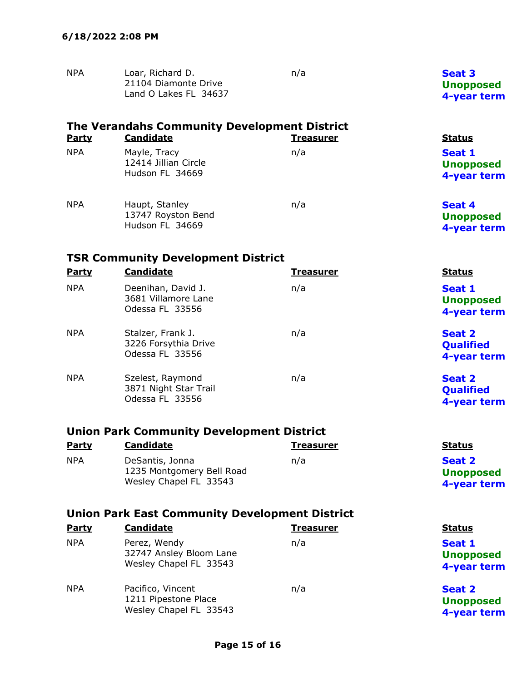| <b>NPA</b><br>Loar, Richard D.<br>n/a<br>21104 Diamonte Drive<br>Land O Lakes FL 34637 | <b>Seat 3</b><br><b>Unopposed</b><br>4-year term |
|----------------------------------------------------------------------------------------|--------------------------------------------------|
|----------------------------------------------------------------------------------------|--------------------------------------------------|

|              | The Verandahs Community Development District            |                  |                                           |  |  |
|--------------|---------------------------------------------------------|------------------|-------------------------------------------|--|--|
| <b>Party</b> | <b>Candidate</b>                                        | <b>Treasurer</b> | <b>Status</b>                             |  |  |
| <b>NPA</b>   | Mayle, Tracy<br>12414 Jillian Circle<br>Hudson FL 34669 | n/a              | Seat 1<br><b>Unopposed</b><br>4-year term |  |  |
| <b>NPA</b>   | Haupt, Stanley<br>13747 Royston Bend<br>Hudson FL 34669 | n/a              | Seat 4<br><b>Unopposed</b><br>4-year term |  |  |

# TSR Community Development District

| Party      | <b>Candidate</b>                                             | <b>Treasurer</b> | <b>Status</b>                                    |
|------------|--------------------------------------------------------------|------------------|--------------------------------------------------|
| <b>NPA</b> | Deenihan, David J.<br>3681 Villamore Lane<br>Odessa FL 33556 | n/a              | Seat 1<br><b>Unopposed</b><br>4-year term        |
| <b>NPA</b> | Stalzer, Frank J.<br>3226 Forsythia Drive<br>Odessa FL 33556 | n/a              | <b>Seat 2</b><br><b>Qualified</b><br>4-year term |
| <b>NPA</b> | Szelest, Raymond<br>3871 Night Star Trail<br>Odessa FL 33556 | n/a              | <b>Seat 2</b><br><b>Qualified</b><br>4-year term |

### Union Park Community Development District

| <b>Party</b> | <b>Candidate</b>                                                       | <b>Treasurer</b> | <b>Status</b>                             |
|--------------|------------------------------------------------------------------------|------------------|-------------------------------------------|
| <b>NPA</b>   | DeSantis, Jonna<br>1235 Montgomery Bell Road<br>Wesley Chapel FL 33543 | n/a              | Seat 2<br><b>Unopposed</b><br>4-year term |

### Union Park East Community Development District

| Party      | <b>Candidate</b>                                                    | <b>Treasurer</b> | <b>Status</b>                                    |
|------------|---------------------------------------------------------------------|------------------|--------------------------------------------------|
| <b>NPA</b> | Perez, Wendy<br>32747 Ansley Bloom Lane<br>Wesley Chapel FL 33543   | n/a              | Seat 1<br><b>Unopposed</b><br>4-year term        |
| <b>NPA</b> | Pacifico, Vincent<br>1211 Pipestone Place<br>Wesley Chapel FL 33543 | n/a              | <b>Seat 2</b><br><b>Unopposed</b><br>4-year term |